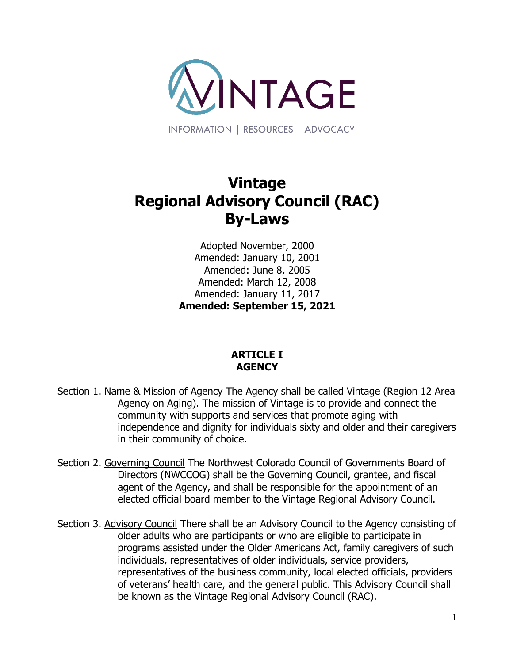

# **Vintage Regional Advisory Council (RAC) By-Laws**

Adopted November, 2000 Amended: January 10, 2001 Amended: June 8, 2005 Amended: March 12, 2008 Amended: January 11, 2017 **Amended: September 15, 2021**

# **ARTICLE I AGENCY**

- Section 1. Name & Mission of Agency The Agency shall be called Vintage (Region 12 Area Agency on Aging). The mission of Vintage is to provide and connect the community with supports and services that promote aging with independence and dignity for individuals sixty and older and their caregivers in their community of choice.
- Section 2. Governing Council The Northwest Colorado Council of Governments Board of Directors (NWCCOG) shall be the Governing Council, grantee, and fiscal agent of the Agency, and shall be responsible for the appointment of an elected official board member to the Vintage Regional Advisory Council.
- Section 3. Advisory Council There shall be an Advisory Council to the Agency consisting of older adults who are participants or who are eligible to participate in programs assisted under the Older Americans Act, family caregivers of such individuals, representatives of older individuals, service providers, representatives of the business community, local elected officials, providers of veterans' health care, and the general public. This Advisory Council shall be known as the Vintage Regional Advisory Council (RAC).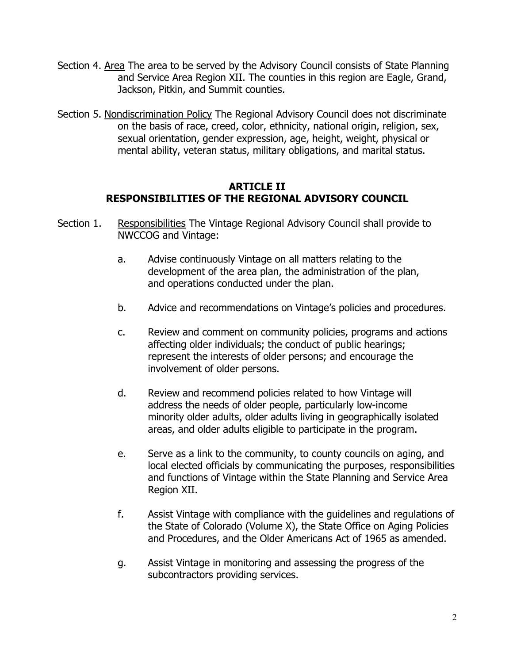- Section 4. Area The area to be served by the Advisory Council consists of State Planning and Service Area Region XII. The counties in this region are Eagle, Grand, Jackson, Pitkin, and Summit counties.
- Section 5. Nondiscrimination Policy The Regional Advisory Council does not discriminate on the basis of race, creed, color, ethnicity, national origin, religion, sex, sexual orientation, gender expression, age, height, weight, physical or mental ability, veteran status, military obligations, and marital status.

#### **ARTICLE II RESPONSIBILITIES OF THE REGIONAL ADVISORY COUNCIL**

- Section 1. Responsibilities The Vintage Regional Advisory Council shall provide to NWCCOG and Vintage:
	- a. Advise continuously Vintage on all matters relating to the development of the area plan, the administration of the plan, and operations conducted under the plan.
	- b. Advice and recommendations on Vintage's policies and procedures.
	- c. Review and comment on community policies, programs and actions affecting older individuals; the conduct of public hearings; represent the interests of older persons; and encourage the involvement of older persons.
	- d. Review and recommend policies related to how Vintage will address the needs of older people, particularly low-income minority older adults, older adults living in geographically isolated areas, and older adults eligible to participate in the program.
	- e. Serve as a link to the community, to county councils on aging, and local elected officials by communicating the purposes, responsibilities and functions of Vintage within the State Planning and Service Area Region XII.
	- f. Assist Vintage with compliance with the guidelines and regulations of the State of Colorado (Volume X), the State Office on Aging Policies and Procedures, and the Older Americans Act of 1965 as amended.
	- g. Assist Vintage in monitoring and assessing the progress of the subcontractors providing services.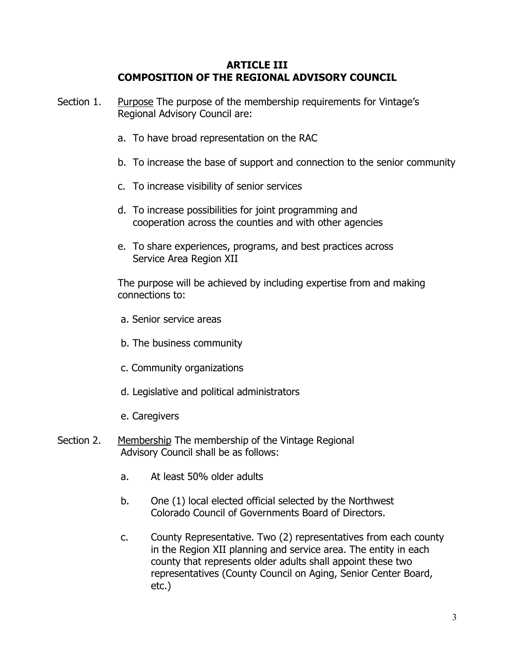#### **ARTICLE III COMPOSITION OF THE REGIONAL ADVISORY COUNCIL**

- Section 1. Purpose The purpose of the membership requirements for Vintage's Regional Advisory Council are:
	- a. To have broad representation on the RAC
	- b. To increase the base of support and connection to the senior community
	- c. To increase visibility of senior services
	- d. To increase possibilities for joint programming and cooperation across the counties and with other agencies
	- e. To share experiences, programs, and best practices across Service Area Region XII

The purpose will be achieved by including expertise from and making connections to:

- a. Senior service areas
- b. The business community
- c. Community organizations
- d. Legislative and political administrators
- e. Caregivers
- Section 2. Membership The membership of the Vintage Regional Advisory Council shall be as follows:
	- a. At least 50% older adults
	- b. One (1) local elected official selected by the Northwest Colorado Council of Governments Board of Directors.
	- c. County Representative. Two (2) representatives from each county in the Region XII planning and service area. The entity in each county that represents older adults shall appoint these two representatives (County Council on Aging, Senior Center Board, etc.)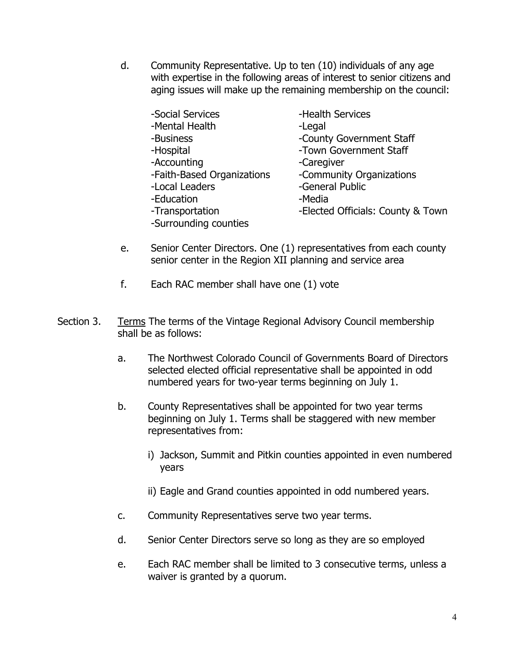d. Community Representative. Up to ten (10) individuals of any age with expertise in the following areas of interest to senior citizens and aging issues will make up the remaining membership on the council:

| -Social Services           | -Health Services                  |
|----------------------------|-----------------------------------|
| -Mental Health             | -Legal                            |
| -Business                  | -County Government Staff          |
| -Hospital                  | -Town Government Staff            |
| -Accounting                | -Caregiver                        |
| -Faith-Based Organizations | -Community Organizations          |
| -Local Leaders             | -General Public                   |
| -Education                 | -Media                            |
| -Transportation            | -Elected Officials: County & Town |
| -Surrounding counties      |                                   |
|                            |                                   |

- e. Senior Center Directors. One (1) representatives from each county senior center in the Region XII planning and service area
- f. Each RAC member shall have one (1) vote
- Section 3. Terms The terms of the Vintage Regional Advisory Council membership shall be as follows:
	- a. The Northwest Colorado Council of Governments Board of Directors selected elected official representative shall be appointed in odd numbered years for two-year terms beginning on July 1.
	- b. County Representatives shall be appointed for two year terms beginning on July 1. Terms shall be staggered with new member representatives from:
		- i) Jackson, Summit and Pitkin counties appointed in even numbered years
		- ii) Eagle and Grand counties appointed in odd numbered years.
	- c. Community Representatives serve two year terms.
	- d. Senior Center Directors serve so long as they are so employed
	- e. Each RAC member shall be limited to 3 consecutive terms, unless a waiver is granted by a quorum.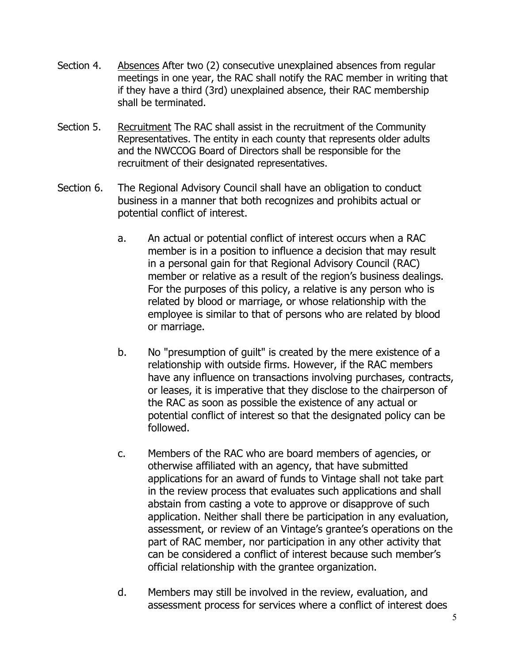- Section 4. Absences After two (2) consecutive unexplained absences from regular meetings in one year, the RAC shall notify the RAC member in writing that if they have a third (3rd) unexplained absence, their RAC membership shall be terminated.
- Section 5. Recruitment The RAC shall assist in the recruitment of the Community Representatives. The entity in each county that represents older adults and the NWCCOG Board of Directors shall be responsible for the recruitment of their designated representatives.
- Section 6. The Regional Advisory Council shall have an obligation to conduct business in a manner that both recognizes and prohibits actual or potential conflict of interest.
	- a. An actual or potential conflict of interest occurs when a RAC member is in a position to influence a decision that may result in a personal gain for that Regional Advisory Council (RAC) member or relative as a result of the region's business dealings. For the purposes of this policy, a relative is any person who is related by blood or marriage, or whose relationship with the employee is similar to that of persons who are related by blood or marriage.
	- b. No "presumption of guilt" is created by the mere existence of a relationship with outside firms. However, if the RAC members have any influence on transactions involving purchases, contracts, or leases, it is imperative that they disclose to the chairperson of the RAC as soon as possible the existence of any actual or potential conflict of interest so that the designated policy can be followed.
	- c. Members of the RAC who are board members of agencies, or otherwise affiliated with an agency, that have submitted applications for an award of funds to Vintage shall not take part in the review process that evaluates such applications and shall abstain from casting a vote to approve or disapprove of such application. Neither shall there be participation in any evaluation, assessment, or review of an Vintage's grantee's operations on the part of RAC member, nor participation in any other activity that can be considered a conflict of interest because such member's official relationship with the grantee organization.
	- d. Members may still be involved in the review, evaluation, and assessment process for services where a conflict of interest does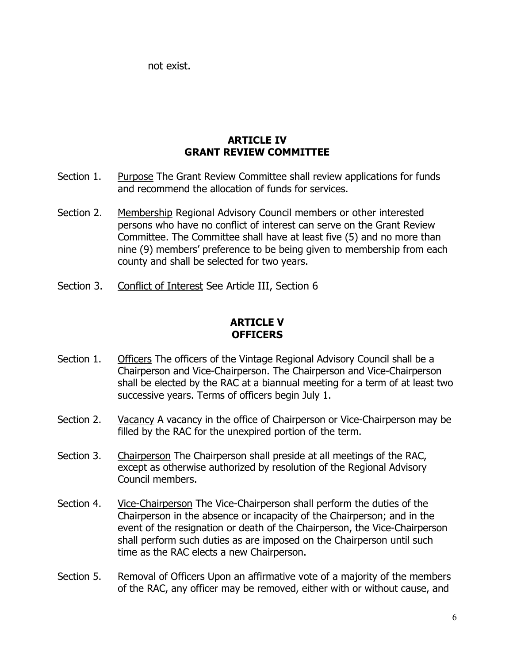not exist.

## **ARTICLE IV GRANT REVIEW COMMITTEE**

- Section 1. Purpose The Grant Review Committee shall review applications for funds and recommend the allocation of funds for services.
- Section 2. Membership Regional Advisory Council members or other interested persons who have no conflict of interest can serve on the Grant Review Committee. The Committee shall have at least five (5) and no more than nine (9) members' preference to be being given to membership from each county and shall be selected for two years.
- Section 3. Conflict of Interest See Article III, Section 6

# **ARTICLE V OFFICERS**

- Section 1. Officers The officers of the Vintage Regional Advisory Council shall be a Chairperson and Vice-Chairperson. The Chairperson and Vice-Chairperson shall be elected by the RAC at a biannual meeting for a term of at least two successive years. Terms of officers begin July 1.
- Section 2. Vacancy A vacancy in the office of Chairperson or Vice-Chairperson may be filled by the RAC for the unexpired portion of the term.
- Section 3. Chairperson The Chairperson shall preside at all meetings of the RAC, except as otherwise authorized by resolution of the Regional Advisory Council members.
- Section 4. Vice-Chairperson The Vice-Chairperson shall perform the duties of the Chairperson in the absence or incapacity of the Chairperson; and in the event of the resignation or death of the Chairperson, the Vice-Chairperson shall perform such duties as are imposed on the Chairperson until such time as the RAC elects a new Chairperson.
- Section 5. Removal of Officers Upon an affirmative vote of a majority of the members of the RAC, any officer may be removed, either with or without cause, and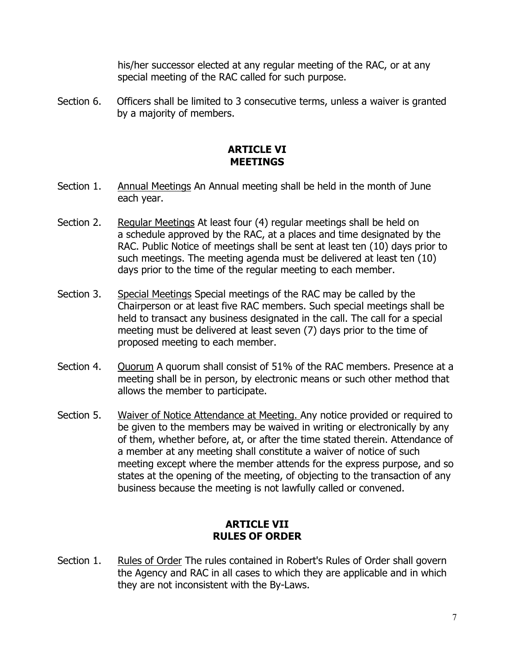his/her successor elected at any regular meeting of the RAC, or at any special meeting of the RAC called for such purpose.

Section 6. Officers shall be limited to 3 consecutive terms, unless a waiver is granted by a majority of members.

## **ARTICLE VI MEETINGS**

- Section 1. Annual Meetings An Annual meeting shall be held in the month of June each year.
- Section 2. Regular Meetings At least four (4) regular meetings shall be held on a schedule approved by the RAC, at a places and time designated by the RAC. Public Notice of meetings shall be sent at least ten (10) days prior to such meetings. The meeting agenda must be delivered at least ten (10) days prior to the time of the regular meeting to each member.
- Section 3. Special Meetings Special meetings of the RAC may be called by the Chairperson or at least five RAC members. Such special meetings shall be held to transact any business designated in the call. The call for a special meeting must be delivered at least seven (7) days prior to the time of proposed meeting to each member.
- Section 4. Quorum A quorum shall consist of 51% of the RAC members. Presence at a meeting shall be in person, by electronic means or such other method that allows the member to participate.
- Section 5. Waiver of Notice Attendance at Meeting. Any notice provided or required to be given to the members may be waived in writing or electronically by any of them, whether before, at, or after the time stated therein. Attendance of a member at any meeting shall constitute a waiver of notice of such meeting except where the member attends for the express purpose, and so states at the opening of the meeting, of objecting to the transaction of any business because the meeting is not lawfully called or convened.

# **ARTICLE VII RULES OF ORDER**

Section 1. Rules of Order The rules contained in Robert's Rules of Order shall govern the Agency and RAC in all cases to which they are applicable and in which they are not inconsistent with the By-Laws.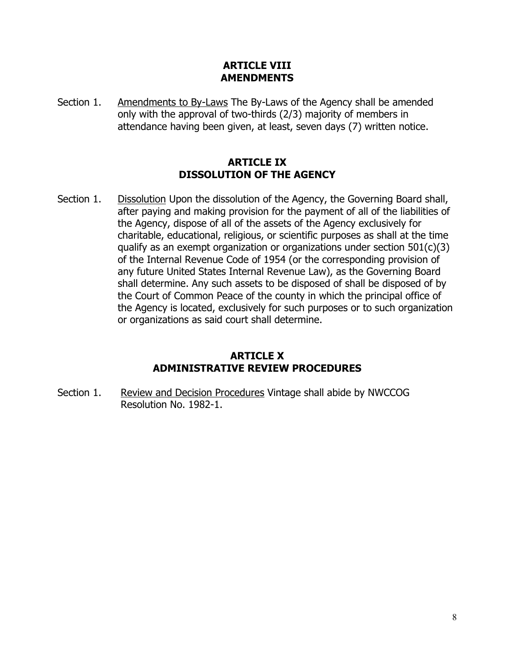## **ARTICLE VIII AMENDMENTS**

Section 1. Amendments to By-Laws The By-Laws of the Agency shall be amended only with the approval of two-thirds (2/3) majority of members in attendance having been given, at least, seven days (7) written notice.

# **ARTICLE IX DISSOLUTION OF THE AGENCY**

Section 1. Dissolution Upon the dissolution of the Agency, the Governing Board shall, after paying and making provision for the payment of all of the liabilities of the Agency, dispose of all of the assets of the Agency exclusively for charitable, educational, religious, or scientific purposes as shall at the time qualify as an exempt organization or organizations under section  $501(c)(3)$ of the Internal Revenue Code of 1954 (or the corresponding provision of any future United States Internal Revenue Law), as the Governing Board shall determine. Any such assets to be disposed of shall be disposed of by the Court of Common Peace of the county in which the principal office of the Agency is located, exclusively for such purposes or to such organization or organizations as said court shall determine.

# **ARTICLE X ADMINISTRATIVE REVIEW PROCEDURES**

Section 1. Review and Decision Procedures Vintage shall abide by NWCCOG Resolution No. 1982-1.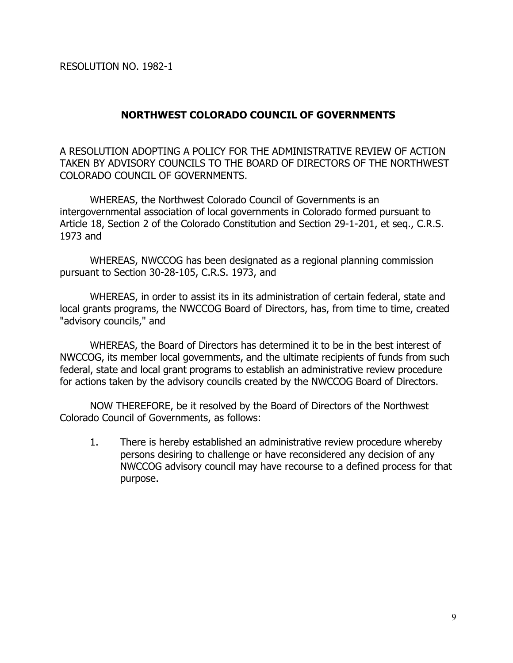RESOLUTION NO. 1982-1

## **NORTHWEST COLORADO COUNCIL OF GOVERNMENTS**

A RESOLUTION ADOPTING A POLICY FOR THE ADMINISTRATIVE REVIEW OF ACTION TAKEN BY ADVISORY COUNCILS TO THE BOARD OF DIRECTORS OF THE NORTHWEST COLORADO COUNCIL OF GOVERNMENTS.

WHEREAS, the Northwest Colorado Council of Governments is an intergovernmental association of local governments in Colorado formed pursuant to Article 18, Section 2 of the Colorado Constitution and Section 29-1-201, et seq., C.R.S. 1973 and

WHEREAS, NWCCOG has been designated as a regional planning commission pursuant to Section 30-28-105, C.R.S. 1973, and

WHEREAS, in order to assist its in its administration of certain federal, state and local grants programs, the NWCCOG Board of Directors, has, from time to time, created "advisory councils," and

WHEREAS, the Board of Directors has determined it to be in the best interest of NWCCOG, its member local governments, and the ultimate recipients of funds from such federal, state and local grant programs to establish an administrative review procedure for actions taken by the advisory councils created by the NWCCOG Board of Directors.

NOW THEREFORE, be it resolved by the Board of Directors of the Northwest Colorado Council of Governments, as follows:

1. There is hereby established an administrative review procedure whereby persons desiring to challenge or have reconsidered any decision of any NWCCOG advisory council may have recourse to a defined process for that purpose.